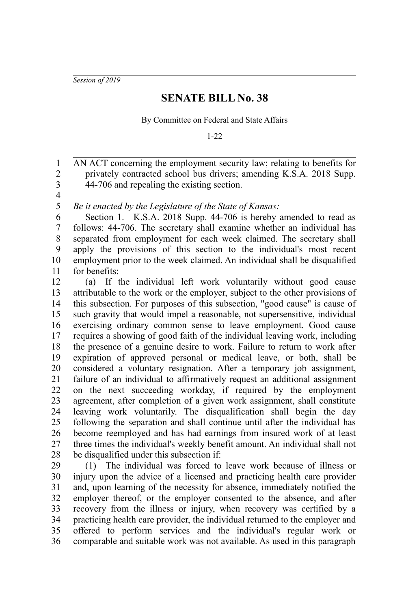*Session of 2019*

## **SENATE BILL No. 38**

By Committee on Federal and State Affairs

1-22

AN ACT concerning the employment security law; relating to benefits for privately contracted school bus drivers; amending K.S.A. 2018 Supp. 44-706 and repealing the existing section. 1 2 3

4 5

*Be it enacted by the Legislature of the State of Kansas:*

Section 1. K.S.A. 2018 Supp. 44-706 is hereby amended to read as follows: 44-706. The secretary shall examine whether an individual has separated from employment for each week claimed. The secretary shall apply the provisions of this section to the individual's most recent employment prior to the week claimed. An individual shall be disqualified for benefits: 6 7 8 9 10 11

(a) If the individual left work voluntarily without good cause attributable to the work or the employer, subject to the other provisions of this subsection. For purposes of this subsection, "good cause" is cause of such gravity that would impel a reasonable, not supersensitive, individual exercising ordinary common sense to leave employment. Good cause requires a showing of good faith of the individual leaving work, including the presence of a genuine desire to work. Failure to return to work after expiration of approved personal or medical leave, or both, shall be considered a voluntary resignation. After a temporary job assignment, failure of an individual to affirmatively request an additional assignment on the next succeeding workday, if required by the employment agreement, after completion of a given work assignment, shall constitute leaving work voluntarily. The disqualification shall begin the day following the separation and shall continue until after the individual has become reemployed and has had earnings from insured work of at least three times the individual's weekly benefit amount. An individual shall not be disqualified under this subsection if: 12 13 14 15 16 17 18 19 20 21 22 23 24 25 26 27 28

(1) The individual was forced to leave work because of illness or injury upon the advice of a licensed and practicing health care provider and, upon learning of the necessity for absence, immediately notified the employer thereof, or the employer consented to the absence, and after recovery from the illness or injury, when recovery was certified by a practicing health care provider, the individual returned to the employer and offered to perform services and the individual's regular work or comparable and suitable work was not available. As used in this paragraph 29 30 31 32 33 34 35 36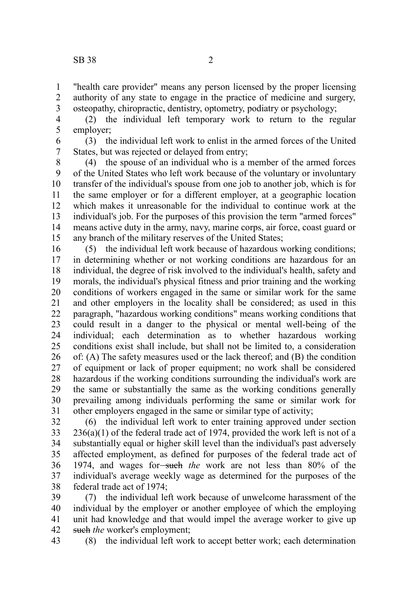"health care provider" means any person licensed by the proper licensing authority of any state to engage in the practice of medicine and surgery, osteopathy, chiropractic, dentistry, optometry, podiatry or psychology; 1 2 3

(2) the individual left temporary work to return to the regular employer; 4 5

(3) the individual left work to enlist in the armed forces of the United States, but was rejected or delayed from entry; 6 7

(4) the spouse of an individual who is a member of the armed forces of the United States who left work because of the voluntary or involuntary transfer of the individual's spouse from one job to another job, which is for the same employer or for a different employer, at a geographic location which makes it unreasonable for the individual to continue work at the individual's job. For the purposes of this provision the term "armed forces" means active duty in the army, navy, marine corps, air force, coast guard or any branch of the military reserves of the United States; 8 9 10 11 12 13 14 15

(5) the individual left work because of hazardous working conditions; in determining whether or not working conditions are hazardous for an individual, the degree of risk involved to the individual's health, safety and morals, the individual's physical fitness and prior training and the working conditions of workers engaged in the same or similar work for the same and other employers in the locality shall be considered; as used in this paragraph, "hazardous working conditions" means working conditions that could result in a danger to the physical or mental well-being of the individual; each determination as to whether hazardous working conditions exist shall include, but shall not be limited to, a consideration of: (A) The safety measures used or the lack thereof; and (B) the condition of equipment or lack of proper equipment; no work shall be considered hazardous if the working conditions surrounding the individual's work are the same or substantially the same as the working conditions generally prevailing among individuals performing the same or similar work for other employers engaged in the same or similar type of activity; 16 17 18 19 20 21 22 23 24 25 26 27 28 29 30 31

(6) the individual left work to enter training approved under section  $236(a)(1)$  of the federal trade act of 1974, provided the work left is not of a substantially equal or higher skill level than the individual's past adversely affected employment, as defined for purposes of the federal trade act of 1974, and wages for-such the work are not less than 80% of the individual's average weekly wage as determined for the purposes of the federal trade act of 1974; 32 33 34 35 36 37 38

(7) the individual left work because of unwelcome harassment of the individual by the employer or another employee of which the employing unit had knowledge and that would impel the average worker to give up such *the* worker's employment: 39 40 41 42

(8) the individual left work to accept better work; each determination 43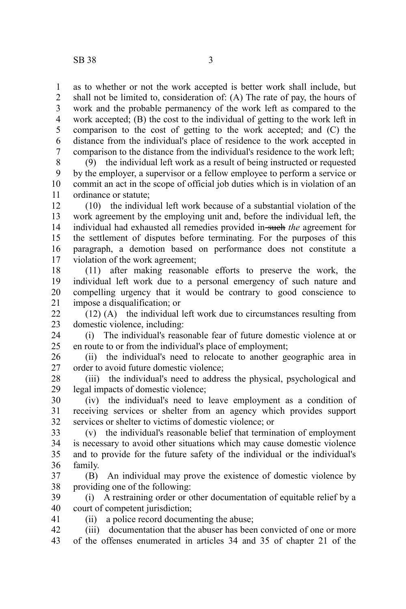as to whether or not the work accepted is better work shall include, but shall not be limited to, consideration of: (A) The rate of pay, the hours of work and the probable permanency of the work left as compared to the work accepted; (B) the cost to the individual of getting to the work left in comparison to the cost of getting to the work accepted; and (C) the distance from the individual's place of residence to the work accepted in comparison to the distance from the individual's residence to the work left; 1 2 3 4 5 6 7

(9) the individual left work as a result of being instructed or requested by the employer, a supervisor or a fellow employee to perform a service or commit an act in the scope of official job duties which is in violation of an ordinance or statute; 8 9 10 11

(10) the individual left work because of a substantial violation of the work agreement by the employing unit and, before the individual left, the individual had exhausted all remedies provided in-such the agreement for the settlement of disputes before terminating. For the purposes of this paragraph, a demotion based on performance does not constitute a violation of the work agreement; 12 13 14 15 16 17

(11) after making reasonable efforts to preserve the work, the individual left work due to a personal emergency of such nature and compelling urgency that it would be contrary to good conscience to impose a disqualification; or 18 19 20 21

(12) (A) the individual left work due to circumstances resulting from domestic violence, including: 22 23

(i) The individual's reasonable fear of future domestic violence at or en route to or from the individual's place of employment; 24 25

(ii) the individual's need to relocate to another geographic area in order to avoid future domestic violence; 26 27

(iii) the individual's need to address the physical, psychological and legal impacts of domestic violence; 28 29

(iv) the individual's need to leave employment as a condition of receiving services or shelter from an agency which provides support services or shelter to victims of domestic violence; or 30 31 32

(v) the individual's reasonable belief that termination of employment is necessary to avoid other situations which may cause domestic violence and to provide for the future safety of the individual or the individual's family. 33 34 35 36

(B) An individual may prove the existence of domestic violence by providing one of the following: 37 38

(i) A restraining order or other documentation of equitable relief by a court of competent jurisdiction; 39 40

(ii) a police record documenting the abuse;

41

(iii) documentation that the abuser has been convicted of one or more of the offenses enumerated in articles 34 and 35 of chapter 21 of the 42 43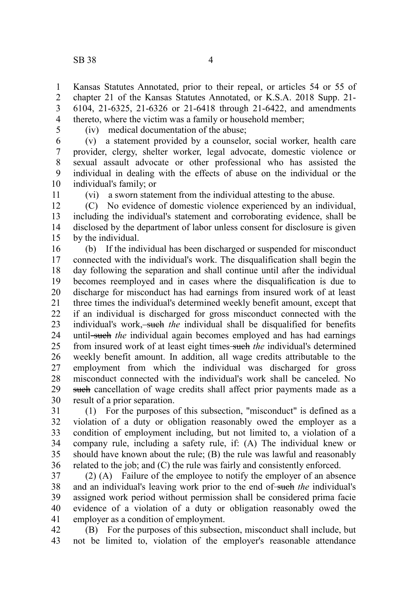Kansas Statutes Annotated, prior to their repeal, or articles 54 or 55 of chapter 21 of the Kansas Statutes Annotated, or K.S.A. 2018 Supp. 21- 6104, 21-6325, 21-6326 or 21-6418 through 21-6422, and amendments thereto, where the victim was a family or household member; 1 2 3 4

5

(iv) medical documentation of the abuse;

(v) a statement provided by a counselor, social worker, health care provider, clergy, shelter worker, legal advocate, domestic violence or sexual assault advocate or other professional who has assisted the individual in dealing with the effects of abuse on the individual or the individual's family; or 6 7 8 9 10

11

(vi) a sworn statement from the individual attesting to the abuse.

(C) No evidence of domestic violence experienced by an individual, including the individual's statement and corroborating evidence, shall be disclosed by the department of labor unless consent for disclosure is given by the individual. 12 13 14 15

(b) If the individual has been discharged or suspended for misconduct connected with the individual's work. The disqualification shall begin the day following the separation and shall continue until after the individual becomes reemployed and in cases where the disqualification is due to discharge for misconduct has had earnings from insured work of at least three times the individual's determined weekly benefit amount, except that if an individual is discharged for gross misconduct connected with the individual's work, such the individual shall be disqualified for benefits until-such *the* individual again becomes employed and has had earnings from insured work of at least eight times such *the* individual's determined weekly benefit amount. In addition, all wage credits attributable to the employment from which the individual was discharged for gross misconduct connected with the individual's work shall be canceled. No such cancellation of wage credits shall affect prior payments made as a result of a prior separation. 16 17 18 19 20 21 22 23 24 25 26 27 28 29 30

(1) For the purposes of this subsection, "misconduct" is defined as a violation of a duty or obligation reasonably owed the employer as a condition of employment including, but not limited to, a violation of a company rule, including a safety rule, if: (A) The individual knew or should have known about the rule; (B) the rule was lawful and reasonably related to the job; and (C) the rule was fairly and consistently enforced. 31 32 33 34 35 36

(2) (A) Failure of the employee to notify the employer of an absence and an individual's leaving work prior to the end of-such the individual's assigned work period without permission shall be considered prima facie evidence of a violation of a duty or obligation reasonably owed the employer as a condition of employment. 37 38 39 40 41

(B) For the purposes of this subsection, misconduct shall include, but not be limited to, violation of the employer's reasonable attendance 42 43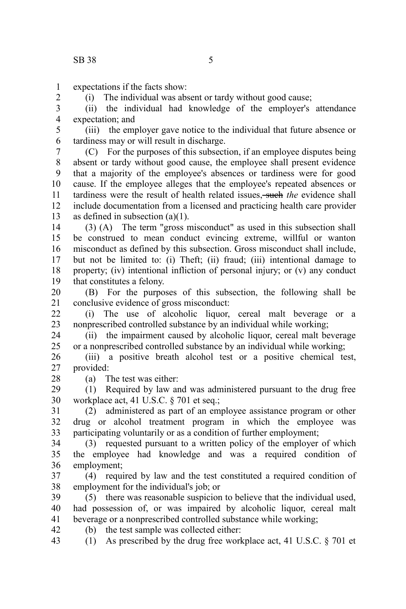expectations if the facts show: 1

2

(i) The individual was absent or tardy without good cause;

(ii) the individual had knowledge of the employer's attendance expectation; and 3 4

(iii) the employer gave notice to the individual that future absence or tardiness may or will result in discharge. 5 6

(C) For the purposes of this subsection, if an employee disputes being absent or tardy without good cause, the employee shall present evidence that a majority of the employee's absences or tardiness were for good cause. If the employee alleges that the employee's repeated absences or tardiness were the result of health related issues. **such** the evidence shall include documentation from a licensed and practicing health care provider as defined in subsection (a)(1). 7 8 9 10 11 12 13

(3) (A) The term "gross misconduct" as used in this subsection shall be construed to mean conduct evincing extreme, willful or wanton misconduct as defined by this subsection. Gross misconduct shall include, but not be limited to: (i) Theft; (ii) fraud; (iii) intentional damage to property; (iv) intentional infliction of personal injury; or (v) any conduct that constitutes a felony. 14 15 16 17 18 19

(B) For the purposes of this subsection, the following shall be conclusive evidence of gross misconduct: 20 21

(i) The use of alcoholic liquor, cereal malt beverage or a nonprescribed controlled substance by an individual while working;  $22$ 23

(ii) the impairment caused by alcoholic liquor, cereal malt beverage or a nonprescribed controlled substance by an individual while working; 24 25

(iii) a positive breath alcohol test or a positive chemical test, provided: 26 27

(a) The test was either:

28

(1) Required by law and was administered pursuant to the drug free workplace act, 41 U.S.C. § 701 et seq.; 29 30

(2) administered as part of an employee assistance program or other drug or alcohol treatment program in which the employee was participating voluntarily or as a condition of further employment; 31 32 33

(3) requested pursuant to a written policy of the employer of which the employee had knowledge and was a required condition of employment; 34 35 36

(4) required by law and the test constituted a required condition of employment for the individual's job; or 37 38

(5) there was reasonable suspicion to believe that the individual used, had possession of, or was impaired by alcoholic liquor, cereal malt beverage or a nonprescribed controlled substance while working; 39 40 41

(b) the test sample was collected either: 42

(1) As prescribed by the drug free workplace act, 41 U.S.C. § 701 et 43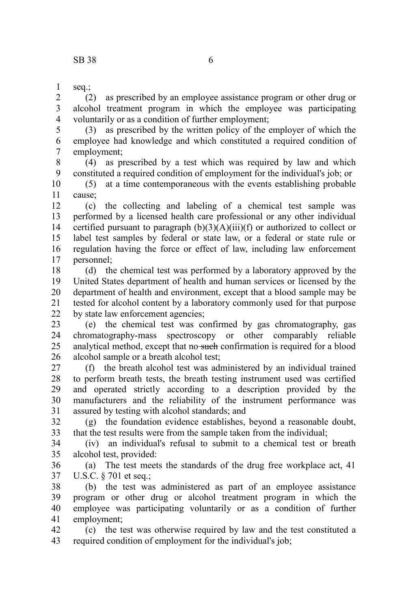seq.; 1

(2) as prescribed by an employee assistance program or other drug or alcohol treatment program in which the employee was participating voluntarily or as a condition of further employment; 2 3 4

(3) as prescribed by the written policy of the employer of which the employee had knowledge and which constituted a required condition of employment; 5 6 7

(4) as prescribed by a test which was required by law and which constituted a required condition of employment for the individual's job; or 8 9

(5) at a time contemporaneous with the events establishing probable cause; 10 11

(c) the collecting and labeling of a chemical test sample was performed by a licensed health care professional or any other individual certified pursuant to paragraph  $(b)(3)(A)(iii)(f)$  or authorized to collect or label test samples by federal or state law, or a federal or state rule or regulation having the force or effect of law, including law enforcement personnel; 12 13 14 15 16 17

(d) the chemical test was performed by a laboratory approved by the United States department of health and human services or licensed by the department of health and environment, except that a blood sample may be tested for alcohol content by a laboratory commonly used for that purpose by state law enforcement agencies; 18 19 20 21 22

(e) the chemical test was confirmed by gas chromatography, gas chromatography-mass spectroscopy or other comparably reliable analytical method, except that no such confirmation is required for a blood alcohol sample or a breath alcohol test; 23 24 25 26

(f) the breath alcohol test was administered by an individual trained to perform breath tests, the breath testing instrument used was certified and operated strictly according to a description provided by the manufacturers and the reliability of the instrument performance was assured by testing with alcohol standards; and 27 28 29 30 31

(g) the foundation evidence establishes, beyond a reasonable doubt, that the test results were from the sample taken from the individual; 32 33

(iv) an individual's refusal to submit to a chemical test or breath alcohol test, provided: 34 35

(a) The test meets the standards of the drug free workplace act, 41 U.S.C. § 701 et seq.; 36 37

(b) the test was administered as part of an employee assistance program or other drug or alcohol treatment program in which the employee was participating voluntarily or as a condition of further employment; 38 39 40 41

(c) the test was otherwise required by law and the test constituted a required condition of employment for the individual's job; 42 43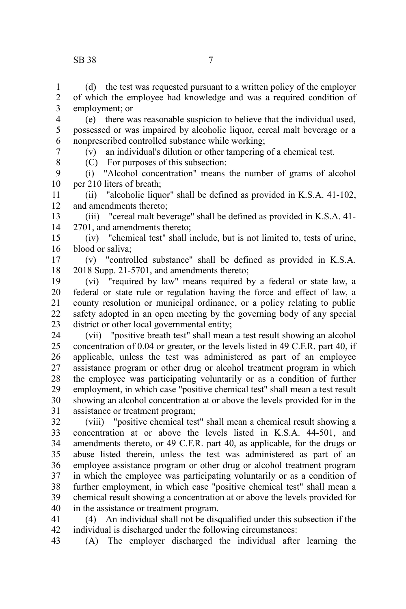## SB 38 7

8

(d) the test was requested pursuant to a written policy of the employer of which the employee had knowledge and was a required condition of employment; or 1 2 3

(e) there was reasonable suspicion to believe that the individual used, possessed or was impaired by alcoholic liquor, cereal malt beverage or a nonprescribed controlled substance while working; 4 5 6 7

(v) an individual's dilution or other tampering of a chemical test.

(C) For purposes of this subsection:

(i) "Alcohol concentration" means the number of grams of alcohol per 210 liters of breath; 9 10

(ii) "alcoholic liquor" shall be defined as provided in K.S.A. 41-102, and amendments thereto; 11 12

(iii) "cereal malt beverage" shall be defined as provided in K.S.A. 41- 2701, and amendments thereto; 13 14

(iv) "chemical test" shall include, but is not limited to, tests of urine, blood or saliva; 15 16

(v) "controlled substance" shall be defined as provided in K.S.A. 2018 Supp. 21-5701, and amendments thereto; 17 18

(vi) "required by law" means required by a federal or state law, a federal or state rule or regulation having the force and effect of law, a county resolution or municipal ordinance, or a policy relating to public safety adopted in an open meeting by the governing body of any special district or other local governmental entity; 19 20 21 22 23

(vii) "positive breath test" shall mean a test result showing an alcohol concentration of 0.04 or greater, or the levels listed in 49 C.F.R. part 40, if applicable, unless the test was administered as part of an employee assistance program or other drug or alcohol treatment program in which the employee was participating voluntarily or as a condition of further employment, in which case "positive chemical test" shall mean a test result showing an alcohol concentration at or above the levels provided for in the assistance or treatment program; 24 25 26 27 28 29 30 31

(viii) "positive chemical test" shall mean a chemical result showing a concentration at or above the levels listed in K.S.A. 44-501, and amendments thereto, or 49 C.F.R. part 40, as applicable, for the drugs or abuse listed therein, unless the test was administered as part of an employee assistance program or other drug or alcohol treatment program in which the employee was participating voluntarily or as a condition of further employment, in which case "positive chemical test" shall mean a chemical result showing a concentration at or above the levels provided for in the assistance or treatment program. 32 33 34 35 36 37 38 39 40

(4) An individual shall not be disqualified under this subsection if the individual is discharged under the following circumstances: 41 42

(A) The employer discharged the individual after learning the 43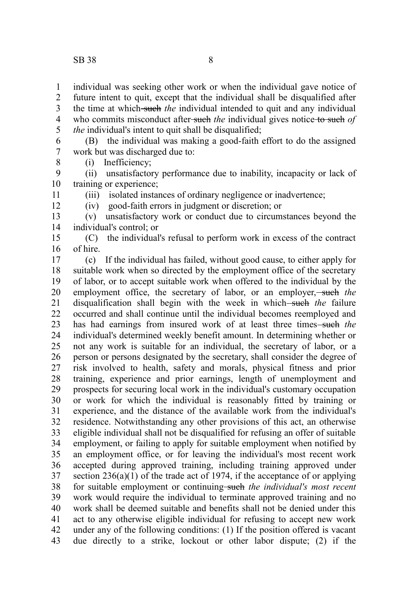8

11 12

individual was seeking other work or when the individual gave notice of future intent to quit, except that the individual shall be disqualified after the time at which-such the individual intended to quit and any individual who commits misconduct after-such the individual gives notice-to-such of *the* individual's intent to quit shall be disqualified; 1 2 3 4 5

(B) the individual was making a good-faith effort to do the assigned work but was discharged due to: 6 7

(i) Inefficiency;

(ii) unsatisfactory performance due to inability, incapacity or lack of training or experience; 9 10

(iii) isolated instances of ordinary negligence or inadvertence;

(iv) good-faith errors in judgment or discretion; or

(v) unsatisfactory work or conduct due to circumstances beyond the individual's control; or 13 14

(C) the individual's refusal to perform work in excess of the contract of hire. 15 16

(c) If the individual has failed, without good cause, to either apply for suitable work when so directed by the employment office of the secretary of labor, or to accept suitable work when offered to the individual by the employment office, the secretary of labor, or an employer,-such the disqualification shall begin with the week in which—such the failure occurred and shall continue until the individual becomes reemployed and has had earnings from insured work of at least three times-such the individual's determined weekly benefit amount. In determining whether or not any work is suitable for an individual, the secretary of labor, or a person or persons designated by the secretary, shall consider the degree of risk involved to health, safety and morals, physical fitness and prior training, experience and prior earnings, length of unemployment and prospects for securing local work in the individual's customary occupation or work for which the individual is reasonably fitted by training or experience, and the distance of the available work from the individual's residence. Notwithstanding any other provisions of this act, an otherwise eligible individual shall not be disqualified for refusing an offer of suitable employment, or failing to apply for suitable employment when notified by an employment office, or for leaving the individual's most recent work accepted during approved training, including training approved under section  $236(a)(1)$  of the trade act of 1974, if the acceptance of or applying for suitable employment or continuing such the *individual's most recent* work would require the individual to terminate approved training and no work shall be deemed suitable and benefits shall not be denied under this act to any otherwise eligible individual for refusing to accept new work under any of the following conditions: (1) If the position offered is vacant due directly to a strike, lockout or other labor dispute; (2) if the 17 18 19 20 21 22 23 24 25 26 27 28 29 30 31 32 33 34 35 36 37 38 39 40 41 42 43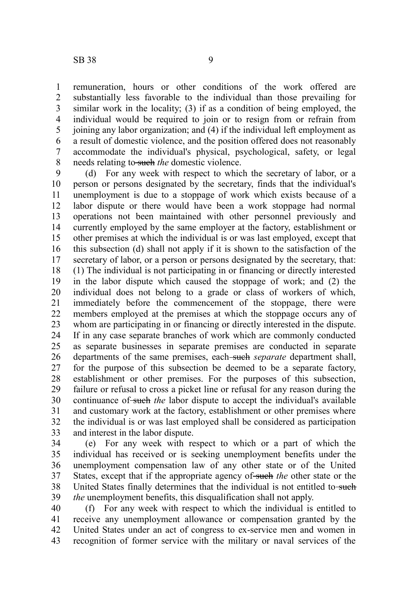remuneration, hours or other conditions of the work offered are substantially less favorable to the individual than those prevailing for similar work in the locality; (3) if as a condition of being employed, the individual would be required to join or to resign from or refrain from joining any labor organization; and (4) if the individual left employment as a result of domestic violence, and the position offered does not reasonably accommodate the individual's physical, psychological, safety, or legal needs relating to such *the* domestic violence.

(d) For any week with respect to which the secretary of labor, or a person or persons designated by the secretary, finds that the individual's unemployment is due to a stoppage of work which exists because of a labor dispute or there would have been a work stoppage had normal operations not been maintained with other personnel previously and currently employed by the same employer at the factory, establishment or other premises at which the individual is or was last employed, except that this subsection (d) shall not apply if it is shown to the satisfaction of the secretary of labor, or a person or persons designated by the secretary, that: (1) The individual is not participating in or financing or directly interested in the labor dispute which caused the stoppage of work; and (2) the individual does not belong to a grade or class of workers of which, immediately before the commencement of the stoppage, there were members employed at the premises at which the stoppage occurs any of whom are participating in or financing or directly interested in the dispute. If in any case separate branches of work which are commonly conducted as separate businesses in separate premises are conducted in separate departments of the same premises, each-such *separate* department shall, for the purpose of this subsection be deemed to be a separate factory, establishment or other premises. For the purposes of this subsection, failure or refusal to cross a picket line or refusal for any reason during the continuance of such the labor dispute to accept the individual's available and customary work at the factory, establishment or other premises where the individual is or was last employed shall be considered as participation and interest in the labor dispute. 9 10 11 12 13 14 15 16 17 18 19 20 21 22 23 24 25 26 27 28 29 30 31 32 33

(e) For any week with respect to which or a part of which the individual has received or is seeking unemployment benefits under the unemployment compensation law of any other state or of the United States, except that if the appropriate agency of such the other state or the United States finally determines that the individual is not entitled to-such *the* unemployment benefits, this disqualification shall not apply. 34 35 36 37 38 39

(f) For any week with respect to which the individual is entitled to receive any unemployment allowance or compensation granted by the United States under an act of congress to ex-service men and women in recognition of former service with the military or naval services of the 40 41 42 43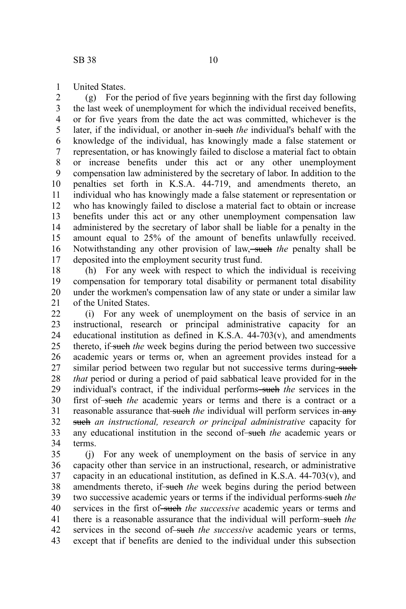United States. 1

(g) For the period of five years beginning with the first day following the last week of unemployment for which the individual received benefits, or for five years from the date the act was committed, whichever is the later, if the individual, or another in-such the individual's behalf with the knowledge of the individual, has knowingly made a false statement or representation, or has knowingly failed to disclose a material fact to obtain or increase benefits under this act or any other unemployment compensation law administered by the secretary of labor. In addition to the penalties set forth in K.S.A. 44-719, and amendments thereto, an individual who has knowingly made a false statement or representation or who has knowingly failed to disclose a material fact to obtain or increase benefits under this act or any other unemployment compensation law administered by the secretary of labor shall be liable for a penalty in the amount equal to 25% of the amount of benefits unlawfully received. Notwithstanding any other provision of law, such the penalty shall be deposited into the employment security trust fund. 2 3 4 5 6 7 8 9 10 11 12 13 14 15 16 17

(h) For any week with respect to which the individual is receiving compensation for temporary total disability or permanent total disability under the workmen's compensation law of any state or under a similar law of the United States. 18 19 20 21

(i) For any week of unemployment on the basis of service in an instructional, research or principal administrative capacity for an educational institution as defined in K.S.A.  $44-703(v)$ , and amendments thereto, if such *the* week begins during the period between two successive academic years or terms or, when an agreement provides instead for a similar period between two regular but not successive terms during-such *that* period or during a period of paid sabbatical leave provided for in the individual's contract, if the individual performs-such the services in the first of-such the academic years or terms and there is a contract or a reasonable assurance that-such the individual will perform services in-any such *an instructional, research or principal administrative* capacity for any educational institution in the second of such the academic years or terms. 22 23 24 25 26 27 28 29 30 31 32 33 34

(j) For any week of unemployment on the basis of service in any capacity other than service in an instructional, research, or administrative capacity in an educational institution, as defined in K.S.A.  $44-703(v)$ , and amendments thereto, if such the week begins during the period between two successive academic years or terms if the individual performs such *the* services in the first of such the successive academic years or terms and there is a reasonable assurance that the individual will perform such *the* services in the second of such the successive academic years or terms, except that if benefits are denied to the individual under this subsection 35 36 37 38 39 40 41 42 43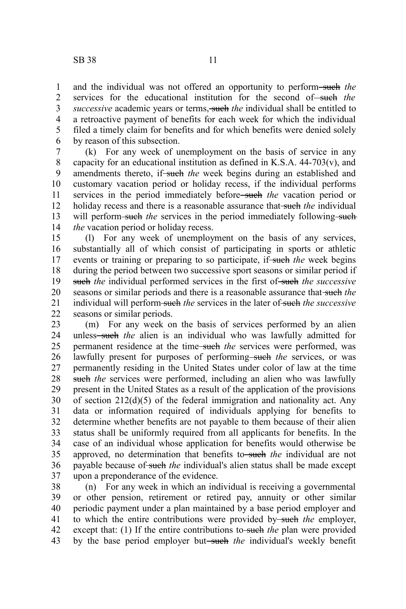and the individual was not offered an opportunity to perform-such the services for the educational institution for the second of such the *successive* academic years or terms, such the individual shall be entitled to a retroactive payment of benefits for each week for which the individual filed a timely claim for benefits and for which benefits were denied solely by reason of this subsection. 1 2 3 4 5 6

(k) For any week of unemployment on the basis of service in any capacity for an educational institution as defined in K.S.A.  $44-703(v)$ , and amendments thereto, if-such the week begins during an established and customary vacation period or holiday recess, if the individual performs services in the period immediately before<del> such</del> the vacation period or holiday recess and there is a reasonable assurance that-such the individual will perform-such the services in the period immediately following-such *the* vacation period or holiday recess. 7 8 9 10 11 12 13 14

(l) For any week of unemployment on the basis of any services, substantially all of which consist of participating in sports or athletic events or training or preparing to so participate, if-such the week begins during the period between two successive sport seasons or similar period if such *the* individual performed services in the first of-such *the successive* seasons or similar periods and there is a reasonable assurance that such *the* individual will perform such the services in the later of such the *successive* seasons or similar periods. 15 16 17 18 19 20 21 22

(m) For any week on the basis of services performed by an alien unless<del> such</del> the alien is an individual who was lawfully admitted for permanent residence at the time<del>-such</del> the services were performed, was lawfully present for purposes of performing-such the services, or was permanently residing in the United States under color of law at the time such *the* services were performed, including an alien who was lawfully present in the United States as a result of the application of the provisions of section  $212(d)(5)$  of the federal immigration and nationality act. Any data or information required of individuals applying for benefits to determine whether benefits are not payable to them because of their alien status shall be uniformly required from all applicants for benefits. In the case of an individual whose application for benefits would otherwise be approved, no determination that benefits to such the individual are not payable because of such the individual's alien status shall be made except upon a preponderance of the evidence. 23 24 25 26 27 28 29 30 31 32 33 34 35 36 37

(n) For any week in which an individual is receiving a governmental or other pension, retirement or retired pay, annuity or other similar periodic payment under a plan maintained by a base period employer and to which the entire contributions were provided by such *the* employer, except that: (1) If the entire contributions to-such the plan were provided by the base period employer but-such the individual's weekly benefit 38 39 40 41 42 43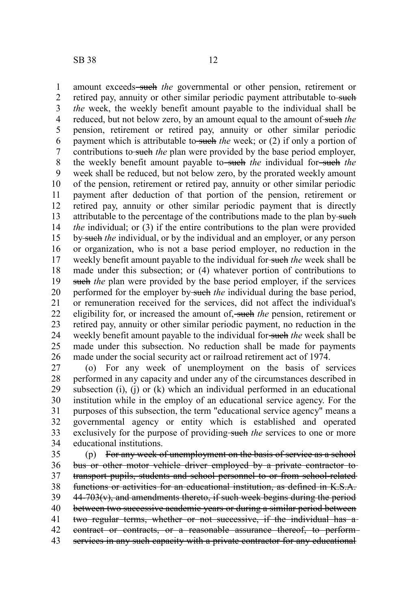amount exceeds–such the governmental or other pension, retirement or retired pay, annuity or other similar periodic payment attributable to-such *the* week, the weekly benefit amount payable to the individual shall be reduced, but not below zero, by an amount equal to the amount of such the pension, retirement or retired pay, annuity or other similar periodic payment which is attributable to-such *the* week; or (2) if only a portion of contributions to such *the* plan were provided by the base period employer, the weekly benefit amount payable to such the individual for such the week shall be reduced, but not below zero, by the prorated weekly amount of the pension, retirement or retired pay, annuity or other similar periodic payment after deduction of that portion of the pension, retirement or retired pay, annuity or other similar periodic payment that is directly attributable to the percentage of the contributions made to the plan by-such *the* individual; or (3) if the entire contributions to the plan were provided by such *the* individual, or by the individual and an employer, or any person or organization, who is not a base period employer, no reduction in the weekly benefit amount payable to the individual for such *the* week shall be made under this subsection; or (4) whatever portion of contributions to such *the* plan were provided by the base period employer, if the services performed for the employer by such *the* individual during the base period, or remuneration received for the services, did not affect the individual's eligibility for, or increased the amount of, such *the* pension, retirement or retired pay, annuity or other similar periodic payment, no reduction in the weekly benefit amount payable to the individual for-such *the* week shall be made under this subsection. No reduction shall be made for payments made under the social security act or railroad retirement act of 1974. 1 2 3 4 5 6 7 8 9 10 11 12 13 14 15 16 17 18 19 20 21 22 23 24 25 26

(o) For any week of unemployment on the basis of services performed in any capacity and under any of the circumstances described in subsection (i), (j) or (k) which an individual performed in an educational institution while in the employ of an educational service agency. For the purposes of this subsection, the term "educational service agency" means a governmental agency or entity which is established and operated exclusively for the purpose of providing-such the services to one or more educational institutions. 27 28 29 30 31 32 33 34

(p) For any week of unemployment on the basis of service as a school bus or other motor vehicle driver employed by a private contractor totransport pupils, students and school personnel to or from school-related functions or activities for an educational institution, as defined in K.S.A.  $44-703(v)$ , and amendments thereto, if such week begins during the period between two successive academic years or during a similar period between two regular terms, whether or not successive, if the individual has a contract or contracts, or a reasonable assurance thereof, to perform services in any such capacity with a private contractor for any educational 35 36 37 38 39 40 41 42 43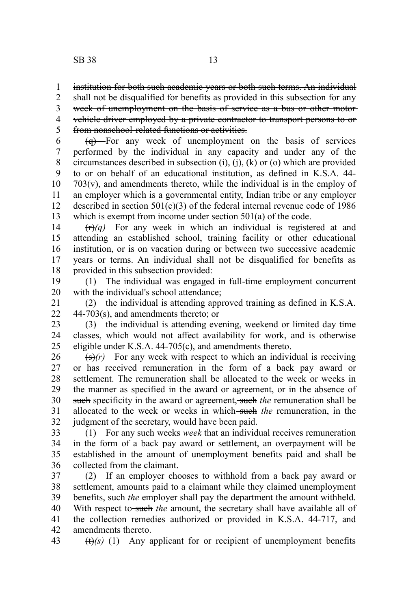institution for both such academic years or both such terms. An individual 1

shall not be disqualified for benefits as provided in this subsection for any 2

week of unemployment on the basis of service as a bus or other motorvehicle driver employed by a private contractor to transport persons to or 3 4

from nonschool-related functions or activities. 5

 $\left(\frac{q}{r}\right)$  For any week of unemployment on the basis of services performed by the individual in any capacity and under any of the circumstances described in subsection (i), (j), (k) or (o) which are provided to or on behalf of an educational institution, as defined in K.S.A. 44-  $703(v)$ , and amendments thereto, while the individual is in the employ of an employer which is a governmental entity, Indian tribe or any employer described in section  $501(c)(3)$  of the federal internal revenue code of 1986 which is exempt from income under section 501(a) of the code. 6 7 8 9 10 11 12 13

 $(r)(q)$  For any week in which an individual is registered at and attending an established school, training facility or other educational institution, or is on vacation during or between two successive academic years or terms. An individual shall not be disqualified for benefits as provided in this subsection provided: 14 15 16 17 18

(1) The individual was engaged in full-time employment concurrent with the individual's school attendance; 19 20

(2) the individual is attending approved training as defined in K.S.A. 44-703(s), and amendments thereto; or 21  $22$ 

(3) the individual is attending evening, weekend or limited day time classes, which would not affect availability for work, and is otherwise eligible under K.S.A. 44-705(c), and amendments thereto. 23 24 25

 $\left(\frac{s}{r}\right)$  For any week with respect to which an individual is receiving or has received remuneration in the form of a back pay award or settlement. The remuneration shall be allocated to the week or weeks in the manner as specified in the award or agreement, or in the absence of such specificity in the award or agreement, such the remuneration shall be allocated to the week or weeks in which such *the* remuneration, in the judgment of the secretary, would have been paid. 26 27 28 29 30 31 32

(1) For any such weeks *week* that an individual receives remuneration in the form of a back pay award or settlement, an overpayment will be established in the amount of unemployment benefits paid and shall be collected from the claimant. 33 34 35 36

(2) If an employer chooses to withhold from a back pay award or settlement, amounts paid to a claimant while they claimed unemployment benefits, such *the* employer shall pay the department the amount withheld. With respect to such the amount, the secretary shall have available all of the collection remedies authorized or provided in K.S.A. 44-717, and amendments thereto. 37 38 39 40 41 42

43

(t)*(s)* (1) Any applicant for or recipient of unemployment benefits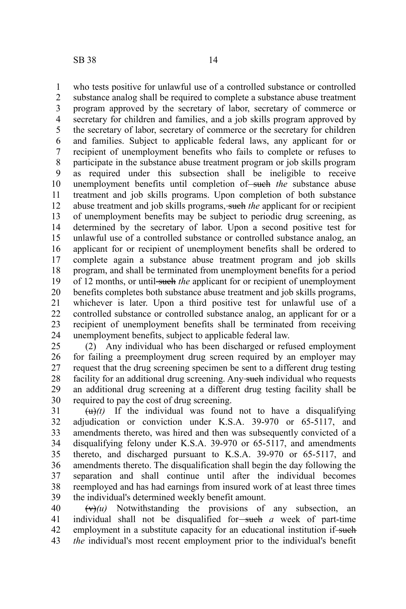who tests positive for unlawful use of a controlled substance or controlled substance analog shall be required to complete a substance abuse treatment program approved by the secretary of labor, secretary of commerce or secretary for children and families, and a job skills program approved by the secretary of labor, secretary of commerce or the secretary for children and families. Subject to applicable federal laws, any applicant for or recipient of unemployment benefits who fails to complete or refuses to participate in the substance abuse treatment program or job skills program as required under this subsection shall be ineligible to receive unemployment benefits until completion of such the substance abuse treatment and job skills programs. Upon completion of both substance abuse treatment and job skills programs, such *the* applicant for or recipient of unemployment benefits may be subject to periodic drug screening, as determined by the secretary of labor. Upon a second positive test for unlawful use of a controlled substance or controlled substance analog, an applicant for or recipient of unemployment benefits shall be ordered to complete again a substance abuse treatment program and job skills program, and shall be terminated from unemployment benefits for a period of 12 months, or until such the applicant for or recipient of unemployment benefits completes both substance abuse treatment and job skills programs, whichever is later. Upon a third positive test for unlawful use of a controlled substance or controlled substance analog, an applicant for or a recipient of unemployment benefits shall be terminated from receiving unemployment benefits, subject to applicable federal law. 1 2 3 4 5 6 7 8 9 10 11 12 13 14 15 16 17 18 19 20 21 22 23 24

(2) Any individual who has been discharged or refused employment for failing a preemployment drug screen required by an employer may request that the drug screening specimen be sent to a different drug testing facility for an additional drug screening. Any such individual who requests an additional drug screening at a different drug testing facility shall be required to pay the cost of drug screening. 25 26 27 28 29 30

 $\left(\frac{u}{u}\right)(t)$  If the individual was found not to have a disqualifying adjudication or conviction under K.S.A. 39-970 or 65-5117, and amendments thereto, was hired and then was subsequently convicted of a disqualifying felony under K.S.A. 39-970 or 65-5117, and amendments thereto, and discharged pursuant to K.S.A. 39-970 or 65-5117, and amendments thereto. The disqualification shall begin the day following the separation and shall continue until after the individual becomes reemployed and has had earnings from insured work of at least three times the individual's determined weekly benefit amount. 31 32 33 34 35 36 37 38 39

 $(v)(u)$  Notwithstanding the provisions of any subsection, an individual shall not be disqualified for such *a* week of part-time employment in a substitute capacity for an educational institution if-such *the* individual's most recent employment prior to the individual's benefit 40 41 42 43